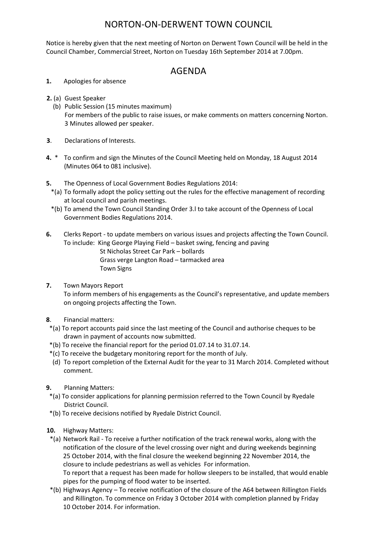## NORTON-ON-DERWENT TOWN COUNCIL

Notice is hereby given that the next meeting of Norton on Derwent Town Council will be held in the Council Chamber, Commercial Street, Norton on Tuesday 16th September 2014 at 7.00pm.

## AGENDA

- **1.** Apologies for absence
- **2.** (a) Guest Speaker
	- (b) Public Session (15 minutes maximum) For members of the public to raise issues, or make comments on matters concerning Norton. 3 Minutes allowed per speaker.
- **3**. Declarations of Interests.
- **4.** \* To confirm and sign the Minutes of the Council Meeting held on Monday, 18 August 2014 (Minutes 064 to 081 inclusive).
- **5.** The Openness of Local Government Bodies Regulations 2014:
- \*(a) To formally adopt the policy setting out the rules for the effective management of recording at local council and parish meetings.
- \*(b) To amend the Town Council Standing Order 3.l to take account of the Openness of Local Government Bodies Regulations 2014.
- **6.** Clerks Report to update members on various issues and projects affecting the Town Council. To include: King George Playing Field – basket swing, fencing and paving

St Nicholas Street Car Park – bollards Grass verge Langton Road – tarmacked area

Town Signs

**7.** Town Mayors Report

 To inform members of his engagements as the Council's representative, and update members on ongoing projects affecting the Town.

- **8**. Financial matters:
- \*(a) To report accounts paid since the last meeting of the Council and authorise cheques to be drawn in payment of accounts now submitted.
- \*(b) To receive the financial report for the period 01.07.14 to 31.07.14.
- \*(c) To receive the budgetary monitoring report for the month of July.
- (d) To report completion of the External Audit for the year to 31 March 2014. Completed without comment.
- **9.** Planning Matters:
- \*(a) To consider applications for planning permission referred to the Town Council by Ryedale District Council.
- \*(b) To receive decisions notified by Ryedale District Council.
- **10.** Highway Matters:

 \*(a) Network Rail - To receive a further notification of the track renewal works, along with the notification of the closure of the level crossing over night and during weekends beginning 25 October 2014, with the final closure the weekend beginning 22 November 2014, the closure to include pedestrians as well as vehicles For information.

To report that a request has been made for hollow sleepers to be installed, that would enable pipes for the pumping of flood water to be inserted.

 \*(b) Highways Agency – To receive notification of the closure of the A64 between Rillington Fields and Rillington. To commence on Friday 3 October 2014 with completion planned by Friday 10 October 2014. For information.